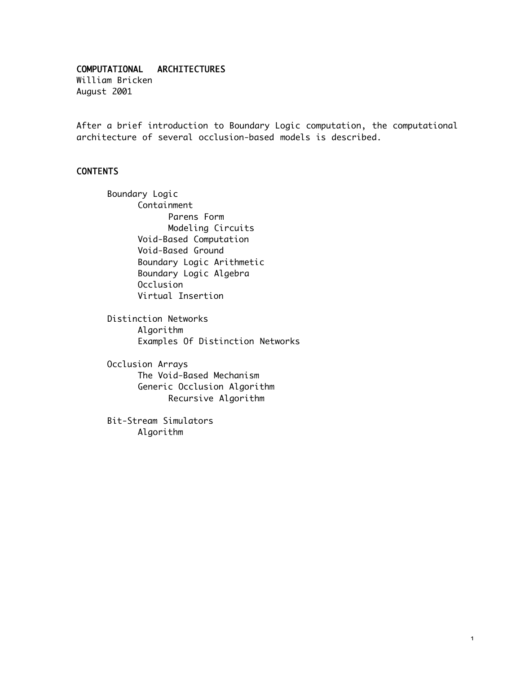### COMPUTATIONAL ARCHITECTURES

William Bricken August 2001

After a brief introduction to Boundary Logic computation, the computational architecture of several occlusion-based models is described.

# CONTENTS

Boundary Logic Containment Parens Form Modeling Circuits Void-Based Computation Void-Based Ground Boundary Logic Arithmetic Boundary Logic Algebra Occlusion Virtual Insertion

Distinction Networks Algorithm Examples Of Distinction Networks

Occlusion Arrays The Void-Based Mechanism Generic Occlusion Algorithm Recursive Algorithm

Bit-Stream Simulators Algorithm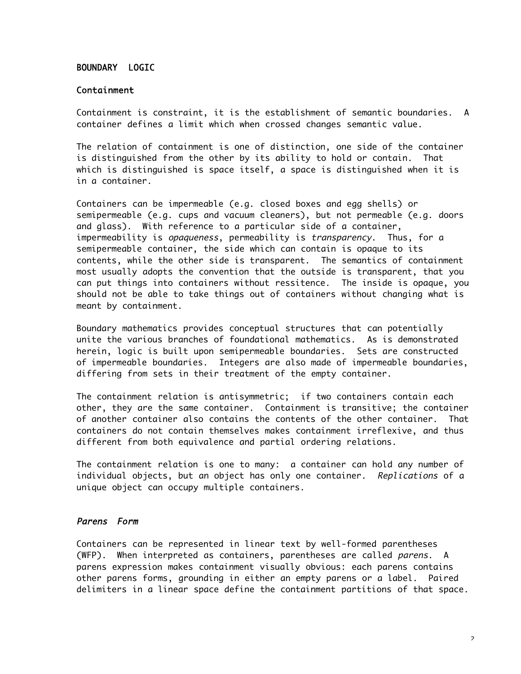### BOUNDARY LOGIC

#### Containment

Containment is constraint, it is the establishment of semantic boundaries. A container defines a limit which when crossed changes semantic value.

The relation of containment is one of distinction, one side of the container is distinguished from the other by its ability to hold or contain. That which is distinguished is space itself, a space is distinguished when it is in a container.

Containers can be impermeable (e.g. closed boxes and egg shells) or semipermeable (e.g. cups and vacuum cleaners), but not permeable (e.g. doors and glass). With reference to a particular side of a container, impermeability is opaqueness, permeability is transparency. Thus, for a semipermeable container, the side which can contain is opaque to its contents, while the other side is transparent. The semantics of containment most usually adopts the convention that the outside is transparent, that you can put things into containers without ressitence. The inside is opaque, you should not be able to take things out of containers without changing what is meant by containment.

Boundary mathematics provides conceptual structures that can potentially unite the various branches of foundational mathematics. As is demonstrated herein, logic is built upon semipermeable boundaries. Sets are constructed of impermeable boundaries. Integers are also made of impermeable boundaries, differing from sets in their treatment of the empty container.

The containment relation is antisymmetric; if two containers contain each other, they are the same container. Containment is transitive; the container of another container also contains the contents of the other container. That containers do not contain themselves makes containment irreflexive, and thus different from both equivalence and partial ordering relations.

The containment relation is one to many: a container can hold any number of individual objects, but an object has only one container. Replications of a unique object can occupy multiple containers.

#### Parens Form

Containers can be represented in linear text by well-formed parentheses (WFP). When interpreted as containers, parentheses are called parens. A parens expression makes containment visually obvious: each parens contains other parens forms, grounding in either an empty parens or a label. Paired delimiters in a linear space define the containment partitions of that space.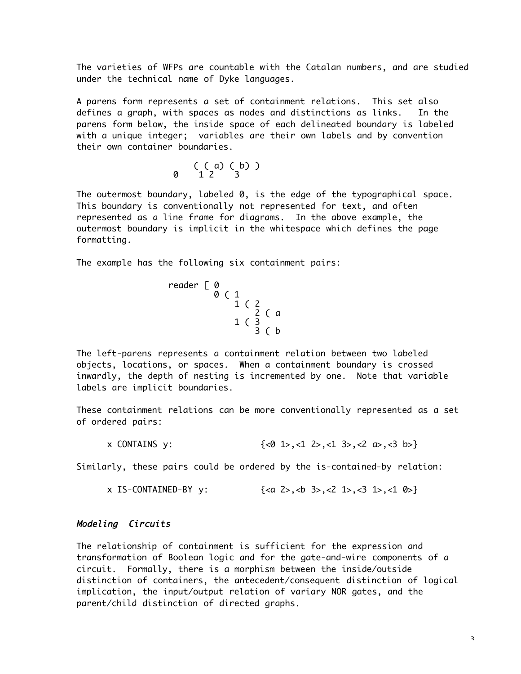The varieties of WFPs are countable with the Catalan numbers, and are studied under the technical name of Dyke languages.

A parens form represents a set of containment relations. This set also defines a graph, with spaces as nodes and distinctions as links. In the parens form below, the inside space of each delineated boundary is labeled with a unique integer; variables are their own labels and by convention their own container boundaries.

$$
0 \quad \begin{array}{c} (a) & (b) \\ 1 & 2 \end{array}
$$

The outermost boundary, labeled 0, is the edge of the typographical space. This boundary is conventionally not represented for text, and often represented as a line frame for diagrams. In the above example, the outermost boundary is implicit in the whitespace which defines the page formatting.

The example has the following six containment pairs:

$$
\begin{array}{c}\n\text{reader} \quad \text{[0]} \\
\text{0} \quad \text{[1]} \\
 & \text{1} \quad \text{[2]} \\
 & \text{1} \quad \text{[3]} \\
 & \text{3} \quad \text{[b]} \\
 & \text{2} \quad \text{[6]} \\
 & \text{3} \quad \text{[c]} \\
 & \text{4} \quad \text{[d]} \\
 & \text{5} \quad \text{[c]} \\
 & \text{6} \quad \text{[d]} \\
 & \text{7} \quad \text{[d]} \\
 & \text{8} \quad \text{[d]} \\
 & \text{9} \quad \text{[d]} \\
 & \text{1} \quad \text{[d]} \\
 & \text{1} \quad \text{[d]} \\
 & \text{1} \quad \text{[e]} \\
 & \text{1} \quad \text{[f]} \\
 & \text{1} \quad \text{[g]} \\
 & \text{1} \quad \text{[g]} \\
 & \text{1} \quad \text{[h]} \\
 & \text{1} \quad \text{[h]} \\
 & \text{1} \quad \text{[i]} \\
 & \text{1} \quad \text{[j]} \\
 & \text{1} \quad \text{[k]} \\
 & \text{1} \quad \text{[k]} \\
 & \text{1} \quad \text{[k]} \\
 & \text{1} \quad \text{[k]} \\
 & \text{1} \quad \text{[k]} \\
 & \text{1} \quad \text{[k]} \\
 & \text{1} \quad \text{[k]} \\
 & \text{1} \quad \text{[k]} \\
 & \text{1} \quad \text{[k]} \\
 & \text{1} \quad \text{[k]} \\
 & \text{1} \quad \text{[k]} \\
 & \text{1} \quad \text{[k]} \\
 & \text{1} \quad \text{[k]} \\
 & \text{1} \quad \text{[k]} \\
 & \text{1} \quad \text{[k]} \\
 & \text{1} \quad \text{[k]} \\
 & \text{1} \quad \text{[k]} \\
 & \text{1} \quad \text{[k]} \\
 & \text{1} \quad \text{[k]} \\
 & \text{1} \quad \text{[k]} \\
 & \text{1} \quad \text{[k]} \\
 & \text{1} \quad \text{[k]} \\
 & \text{1} \quad \text{[k]} \\
 & \text{1} \quad \text{[k]} \\
 & \text{1} \quad \text{[k]} \\
 & \text{1} \quad \text{[k]} \\
 & \text{1} \quad \text{[k]} \\
 & \text{
$$

The left-parens represents a containment relation between two labeled objects, locations, or spaces. When a containment boundary is crossed inwardly, the depth of nesting is incremented by one. Note that variable labels are implicit boundaries.

These containment relations can be more conventionally represented as a set of ordered pairs:

x CONTAINS y:  $\{\langle 0 \rangle 1 \rangle, \langle 1 \rangle 2 \rangle, \langle 1 \rangle 3 \rangle, \langle 2 \rangle 1 \rangle, \langle 3 \rangle$ 

Similarly, these pairs could be ordered by the is-contained-by relation:

```
x IS-CONTAINED-BY y: \{<a>2>, <b>3>, <b>2</b>, <b>1>, <b>3</b>, <b>4</b>\}
```
# Modeling Circuits

The relationship of containment is sufficient for the expression and transformation of Boolean logic and for the gate-and-wire components of a circuit. Formally, there is a morphism between the inside/outside distinction of containers, the antecedent/consequent distinction of logical implication, the input/output relation of variary NOR gates, and the parent/child distinction of directed graphs.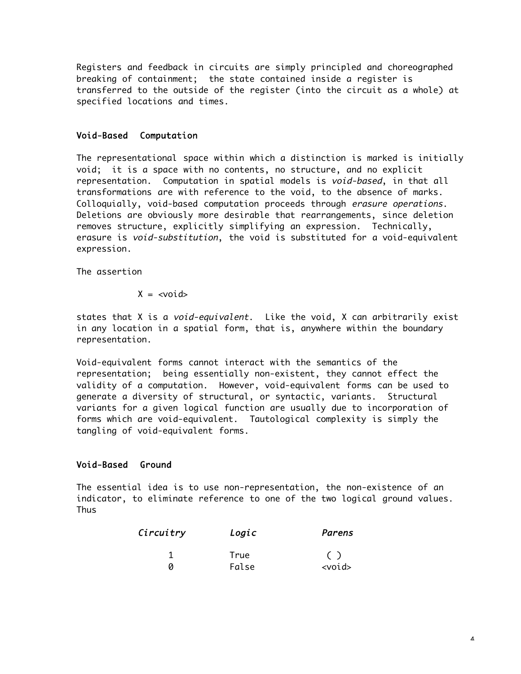Registers and feedback in circuits are simply principled and choreographed breaking of containment; the state contained inside a register is transferred to the outside of the register (into the circuit as a whole) at specified locations and times.

# Void-Based Computation

The representational space within which a distinction is marked is initially void; it is a space with no contents, no structure, and no explicit representation. Computation in spatial models is void-based, in that all transformations are with reference to the void, to the absence of marks. Colloquially, void-based computation proceeds through erasure operations. Deletions are obviously more desirable that rearrangements, since deletion removes structure, explicitly simplifying an expression. Technically, erasure is void-substitution, the void is substituted for a void-equivalent expression.

The assertion

$$
X = \langle \text{void} \rangle
$$

states that X is a *void-equivalent*. Like the void, X can arbitrarily exist in any location in a spatial form, that is, anywhere within the boundary representation.

Void-equivalent forms cannot interact with the semantics of the representation; being essentially non-existent, they cannot effect the validity of a computation. However, void-equivalent forms can be used to generate a diversity of structural, or syntactic, variants. Structural variants for a given logical function are usually due to incorporation of forms which are void-equivalent. Tautological complexity is simply the tangling of void-equivalent forms.

# Void-Based Ground

The essential idea is to use non-representation, the non-existence of an indicator, to eliminate reference to one of the two logical ground values. **Thus** 

| Circuitry | Logic | Parens       |  |
|-----------|-------|--------------|--|
|           | True  |              |  |
|           | False | $<$ void $>$ |  |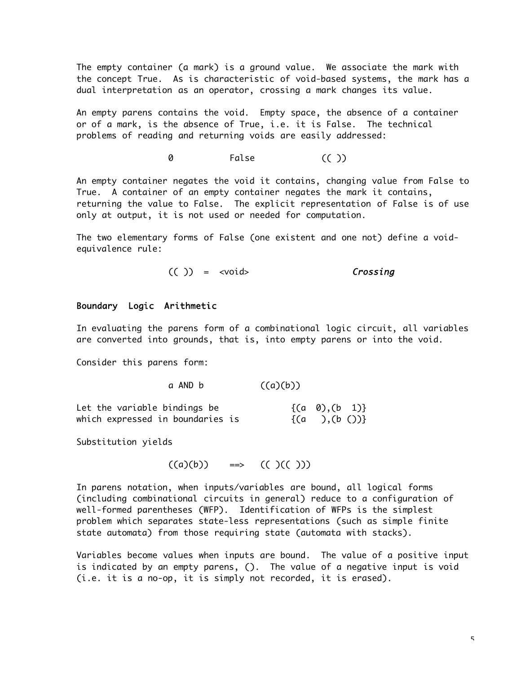The empty container (a mark) is a ground value. We associate the mark with the concept True. As is characteristic of void-based systems, the mark has a dual interpretation as an operator, crossing a mark changes its value.

An empty parens contains the void. Empty space, the absence of a container or of a mark, is the absence of True, i.e. it is False. The technical problems of reading and returning voids are easily addressed:

0 False (( ))

An empty container negates the void it contains, changing value from False to True. A container of an empty container negates the mark it contains, returning the value to False. The explicit representation of False is of use only at output, it is not used or needed for computation.

The two elementary forms of False (one existent and one not) define a voidequivalence rule:

 $(( )$  = <void> Crossing

#### Boundary Logic Arithmetic

In evaluating the parens form of a combinational logic circuit, all variables are converted into grounds, that is, into empty parens or into the void.

Consider this parens form:

#### a AND b  $((a)(b))$

| Let the variable bindings be     | $\{(a \ 0), (b \ 1)\}\$ |  |
|----------------------------------|-------------------------|--|
| which expressed in boundaries is | $\{(a, 0), (b, 0)\}\$   |  |

Substitution yields

```
((a)(b)) ==> (( )(( )))
```
In parens notation, when inputs/variables are bound, all logical forms (including combinational circuits in general) reduce to a configuration of well-formed parentheses (WFP). Identification of WFPs is the simplest problem which separates state-less representations (such as simple finite state automata) from those requiring state (automata with stacks).

Variables become values when inputs are bound. The value of a positive input is indicated by an empty parens, (). The value of a negative input is void (i.e. it is a no-op, it is simply not recorded, it is erased).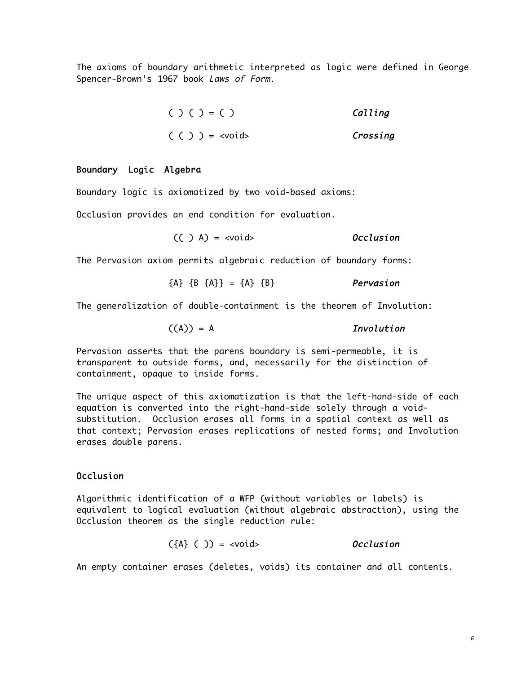The axioms of boundary arithmetic interpreted as logic were defined in George Spencer-Brown's 1967 book Laws of Form.

> $( ) ( ) = ( )$  Calling  $( () ) = \langle \text{void} \rangle$  Crossing

### Boundary Logic Algebra

Boundary logic is axiomatized by two void-based axioms:

Occlusion provides an end condition for evaluation.

```
(( ) A) = \langle \text{void} \rangle Occlusion
```
The Pervasion axiom permits algebraic reduction of boundary forms:

$$
\{A\} \{B \{A\}\} = \{A\} \{B\}
$$
 *Pervasion*

The generalization of double-containment is the theorem of Involution:

$$
((A)) = A
$$
 *Involution*

Pervasion asserts that the parens boundary is semi-permeable, it is transparent to outside forms, and, necessarily for the distinction of containment, opaque to inside forms.

The unique aspect of this axiomatization is that the left-hand-side of each equation is converted into the right-hand-side solely through a voidsubstitution. Occlusion erases all forms in a spatial context as well as that context; Pervasion erases replications of nested forms; and Involution erases double parens.

# Occlusion

Algorithmic identification of a WFP (without variables or labels) is equivalent to logical evaluation (without algebraic abstraction), using the Occlusion theorem as the single reduction rule:

$$
(\{A\} \ ( \ ) ) = \langle \text{void} \rangle
$$
 *Occusion*

An empty container erases (deletes, voids) its container and all contents.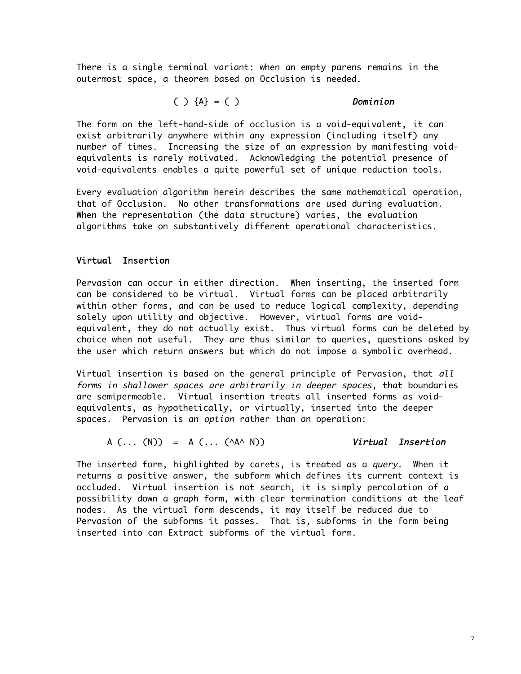There is a single terminal variant: when an empty parens remains in the outermost space, a theorem based on Occlusion is needed.

$$
( ) {A} = ( )
$$
 *Definition*

The form on the left-hand-side of occlusion is a void-equivalent, it can exist arbitrarily anywhere within any expression (including itself) any number of times. Increasing the size of an expression by manifesting voidequivalents is rarely motivated. Acknowledging the potential presence of void-equivalents enables a quite powerful set of unique reduction tools.

Every evaluation algorithm herein describes the same mathematical operation, that of Occlusion. No other transformations are used during evaluation. When the representation (the data structure) varies, the evaluation algorithms take on substantively different operational characteristics.

# Virtual Insertion

Pervasion can occur in either direction. When inserting, the inserted form can be considered to be virtual. Virtual forms can be placed arbitrarily within other forms, and can be used to reduce logical complexity, depending solely upon utility and objective. However, virtual forms are voidequivalent, they do not actually exist. Thus virtual forms can be deleted by choice when not useful. They are thus similar to queries, questions asked by the user which return answers but which do not impose a symbolic overhead.

Virtual insertion is based on the general principle of Pervasion, that all forms in shallower spaces are arbitrarily in deeper spaces, that boundaries are semipermeable. Virtual insertion treats all inserted forms as voidequivalents, as hypothetically, or virtually, inserted into the deeper spaces. Pervasion is an option rather than an operation:

$$
A (\ldots (N)) = A (\ldots (A A \land N))
$$
 *Virtual Insertion*

The inserted form, highlighted by carets, is treated as a *query*. When it returns a positive answer, the subform which defines its current context is occluded. Virtual insertion is not search, it is simply percolation of a possibility down a graph form, with clear termination conditions at the leaf nodes. As the virtual form descends, it may itself be reduced due to Pervasion of the subforms it passes. That is, subforms in the form being inserted into can Extract subforms of the virtual form.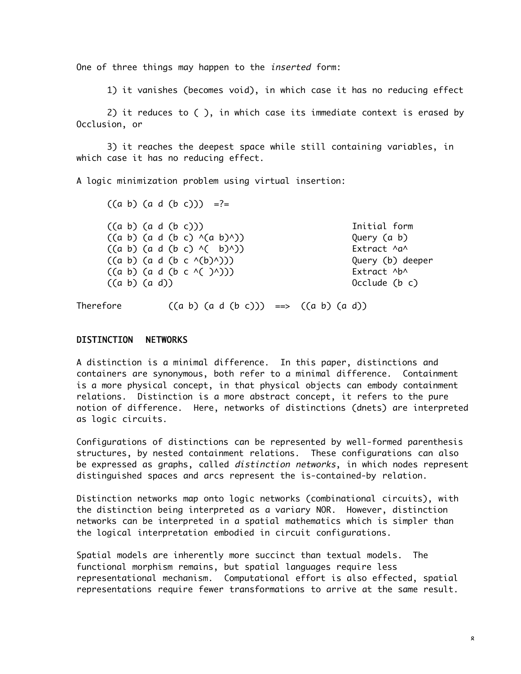One of three things may happen to the *inserted* form:

1) it vanishes (becomes void), in which case it has no reducing effect

2) it reduces to ( ), in which case its immediate context is erased by Occlusion, or

3) it reaches the deepest space while still containing variables, in which case it has no reducing effect.

A logic minimization problem using virtual insertion:

 $((a \ b) \ (a \ d \ (b \ c))) = ? =$  $((a b) (a d (b c)))$  Initial form  $((a b) (a d (b c)  $(a b)^{\wedge})$ )$  Query  $(a b)$  $((a b) (a d (b c)  $(b)^{\wedge})$ ) \n  
Extract  $^{\wedge}a^{\wedge}$$  $((a \ b) \ (a \ d \ (b \ c \ \land (b) \land)))$  Query (b) deeper  $((a \ b) (a \ d \ (b \ c \ \land ( \ )^{\wedge})))$  Extract  $\wedge b^{\wedge}$  $((a \ b) \ (a \ d))$  Occlude  $(b \ c)$ 

Therefore  $((a \ b) \ (a \ d \ (b \ c))) \implies ((a \ b) \ (a \ d))$ 

### DISTINCTION NETWORKS

A distinction is a minimal difference. In this paper, distinctions and containers are synonymous, both refer to a minimal difference. Containment is a more physical concept, in that physical objects can embody containment relations. Distinction is a more abstract concept, it refers to the pure notion of difference. Here, networks of distinctions (dnets) are interpreted as logic circuits.

Configurations of distinctions can be represented by well-formed parenthesis structures, by nested containment relations. These configurations can also be expressed as graphs, called *distinction networks*, in which nodes represent distinguished spaces and arcs represent the is-contained-by relation.

Distinction networks map onto logic networks (combinational circuits), with the distinction being interpreted as a variary NOR. However, distinction networks can be interpreted in a spatial mathematics which is simpler than the logical interpretation embodied in circuit configurations.

Spatial models are inherently more succinct than textual models. The functional morphism remains, but spatial languages require less representational mechanism. Computational effort is also effected, spatial representations require fewer transformations to arrive at the same result.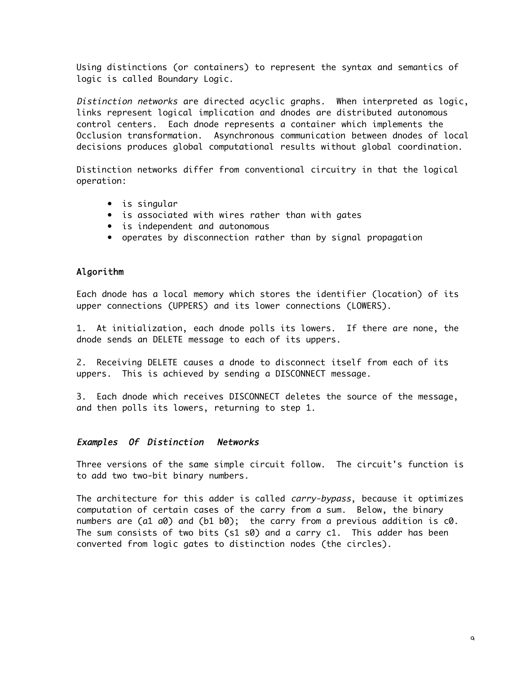Using distinctions (or containers) to represent the syntax and semantics of logic is called Boundary Logic.

Distinction networks are directed acyclic graphs. When interpreted as logic, links represent logical implication and dnodes are distributed autonomous control centers. Each dnode represents a container which implements the Occlusion transformation. Asynchronous communication between dnodes of local decisions produces global computational results without global coordination.

Distinction networks differ from conventional circuitry in that the logical operation:

- is singular
- is associated with wires rather than with gates
- is independent and autonomous
- operates by disconnection rather than by signal propagation

# Algorithm

Each dnode has a local memory which stores the identifier (location) of its upper connections (UPPERS) and its lower connections (LOWERS).

1. At initialization, each dnode polls its lowers. If there are none, the dnode sends an DELETE message to each of its uppers.

2. Receiving DELETE causes a dnode to disconnect itself from each of its uppers. This is achieved by sending a DISCONNECT message.

3. Each dnode which receives DISCONNECT deletes the source of the message, and then polls its lowers, returning to step 1.

### Examples Of Distinction Networks

Three versions of the same simple circuit follow. The circuit's function is to add two two-bit binary numbers.

The architecture for this adder is called *carry-bypass*, because it optimizes computation of certain cases of the carry from a sum. Below, the binary numbers are (a1 a0) and (b1 b0); the carry from a previous addition is c0. The sum consists of two bits (s1 s0) and a carry c1. This adder has been converted from logic gates to distinction nodes (the circles).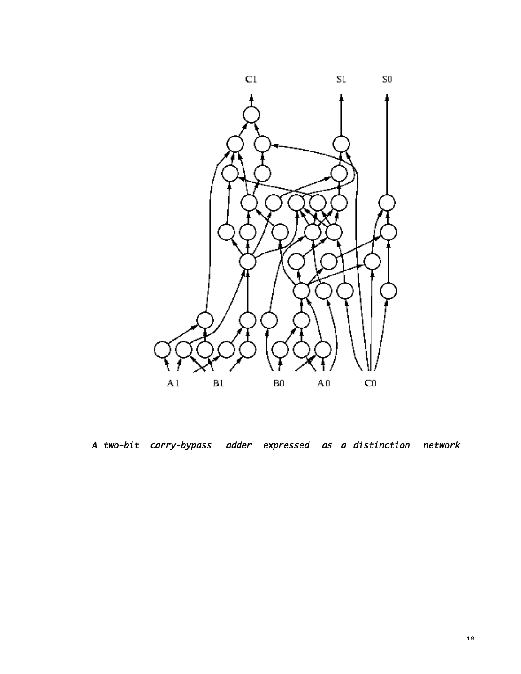

A two-bit carry-bypass adder expressed as a distinction network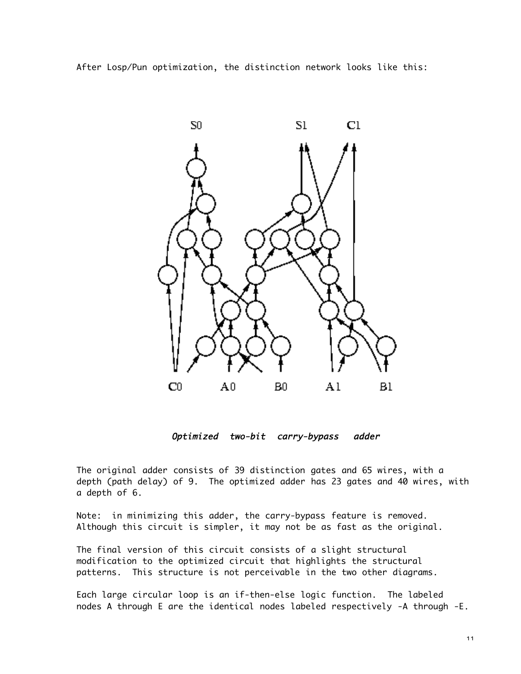After Losp/Pun optimization, the distinction network looks like this:



Optimized two-bit carry-bypass adder

The original adder consists of 39 distinction gates and 65 wires, with a depth (path delay) of 9. The optimized adder has 23 gates and 40 wires, with a depth of 6.

Note: in minimizing this adder, the carry-bypass feature is removed. Although this circuit is simpler, it may not be as fast as the original.

The final version of this circuit consists of a slight structural modification to the optimized circuit that highlights the structural patterns. This structure is not perceivable in the two other diagrams.

Each large circular loop is an if-then-else logic function. The labeled nodes A through E are the identical nodes labeled respectively -A through -E.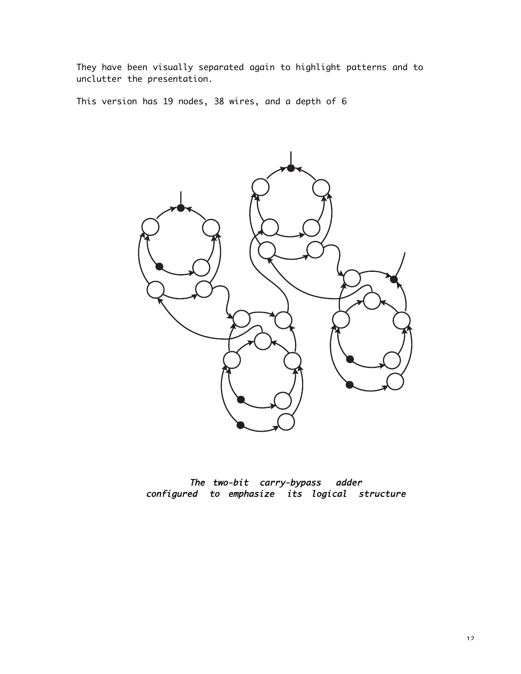They have been visually separated again to highlight patterns and to unclutter the presentation.

This version has 19 nodes, 38 wires, and a depth of 6



The two-bit carry-bypass adder configured to emphasize its logical structure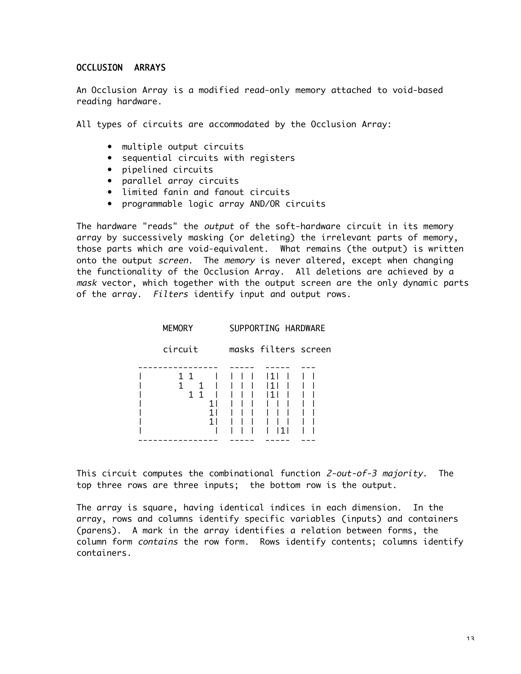### OCCLUSION ARRAYS

An Occlusion Array is a modified read-only memory attached to void-based reading hardware.

All types of circuits are accommodated by the Occlusion Array:

- multiple output circuits
- sequential circuits with registers
- pipelined circuits
- parallel array circuits
- limited fanin and fanout circuits
- programmable logic array AND/OR circuits

The hardware "reads" the *output* of the soft-hardware circuit in its memory array by successively masking (or deleting) the irrelevant parts of memory, those parts which are void-equivalent. What remains (the output) is written onto the output screen. The memory is never altered, except when chanaina the functionality of the Occlusion Array. All deletions are achieved by a mask vector, which together with the output screen are the only dynamic parts of the array. Filters identify input and output rows.

| <b>MEMORY</b>          |  | SUPPORTING HARDWARE |                      |  |  |
|------------------------|--|---------------------|----------------------|--|--|
| circuit                |  |                     | masks filters screen |  |  |
| 11<br>1<br>$1 \quad 1$ |  |                     | l 1 l                |  |  |

This circuit computes the combinational function 2-out-of-3 majority. The top three rows are three inputs; the bottom row is the output.

The array is square, having identical indices in each dimension. In the array, rows and columns identify specific variables (inputs) and containers (parens). A mark in the array identifies a relation between forms, the column form contains the row form. Rows identify contents; columns identify containers.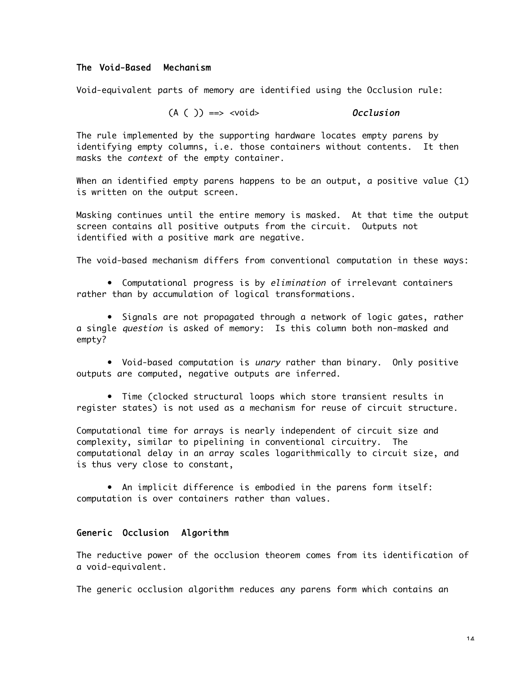### The Void-Based Mechanism

Void-equivalent parts of memory are identified using the Occlusion rule:

## $(A ( )) = \Rightarrow \text{}$  Occlusion

The rule implemented by the supporting hardware locates empty parens by identifying empty columns, i.e. those containers without contents. It then masks the context of the empty container.

When an identified empty parens happens to be an output, a positive value (1) is written on the output screen.

Masking continues until the entire memory is masked. At that time the output screen contains all positive outputs from the circuit. Outputs not identified with a positive mark are negative.

The void-based mechanism differs from conventional computation in these ways:

• Computational progress is by elimination of irrelevant containers rather than by accumulation of logical transformations.

• Signals are not propagated through a network of logic gates, rather a single question is asked of memory: Is this column both non-masked and empty?

• Void-based computation is unary rather than binary. Only positive outputs are computed, negative outputs are inferred.

• Time (clocked structural loops which store transient results in register states) is not used as a mechanism for reuse of circuit structure.

Computational time for arrays is nearly independent of circuit size and complexity, similar to pipelining in conventional circuitry. The computational delay in an array scales logarithmically to circuit size, and is thus very close to constant,

• An implicit difference is embodied in the parens form itself: computation is over containers rather than values.

#### Generic Occlusion Algorithm

The reductive power of the occlusion theorem comes from its identification of a void-equivalent.

The generic occlusion algorithm reduces any parens form which contains an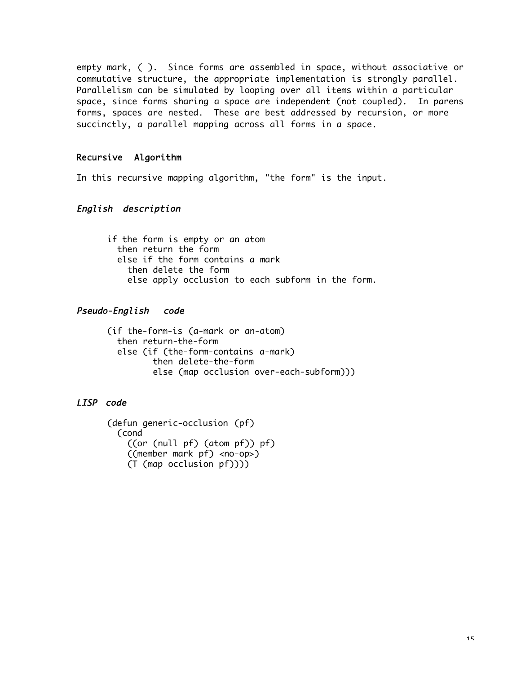empty mark, ( ). Since forms are assembled in space, without associative or commutative structure, the appropriate implementation is strongly parallel. Parallelism can be simulated by looping over all items within a particular space, since forms sharing a space are independent (not coupled). In parens forms, spaces are nested. These are best addressed by recursion, or more succinctly, a parallel mapping across all forms in a space.

## Recursive Algorithm

In this recursive mapping algorithm, "the form" is the input.

# English description

if the form is empty or an atom then return the form else if the form contains a mark then delete the form else apply occlusion to each subform in the form.

## Pseudo-English code

(if the-form-is (a-mark or an-atom) then return-the-form else (if (the-form-contains a-mark) then delete-the-form else (map occlusion over-each-subform)))

### LISP code

```
(defun generic-occlusion (pf)
  (cond
     ((or (null pf) (atom pf)) pf)
     ((member mark pf) <no-op>)
     (T (map occlusion pf))))
```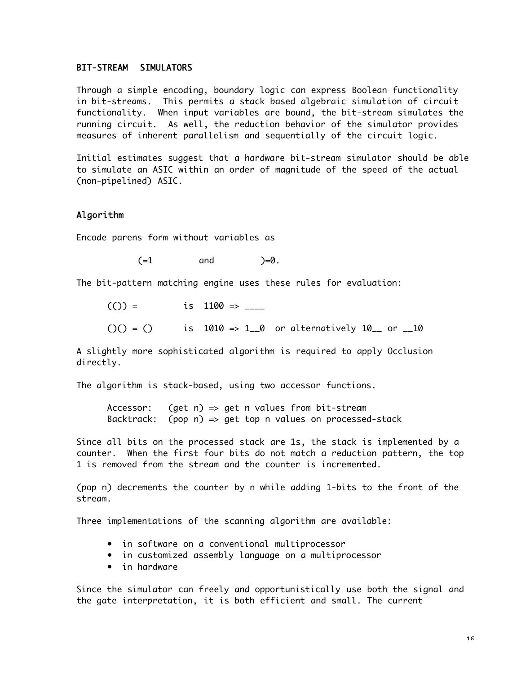#### BIT-STREAM SIMULATORS

Through a simple encoding, boundary logic can express Boolean functionality in bit-streams. This permits a stack based algebraic simulation of circuit functionality. When input variables are bound, the bit-stream simulates the running circuit. As well, the reduction behavior of the simulator provides measures of inherent parallelism and sequentially of the circuit logic.

Initial estimates suggest that a hardware bit-stream simulator should be able to simulate an ASIC within an order of magnitude of the speed of the actual (non-pipelined) ASIC.

### Algorithm

Encode parens form without variables as

 $(=1$  and  $)=0$ .

The bit-pattern matching engine uses these rules for evaluation:

 $(()) =$  is 1100 => \_\_\_\_

 $($ ()() = () is 1010 => 1\_0 or alternatively 10\_ or \_10

A slightly more sophisticated algorithm is required to apply Occlusion directly.

The algorithm is stack-based, using two accessor functions.

Accessor: (get n) => get n values from bit-stream Backtrack: (pop n) => get top n values on processed-stack

Since all bits on the processed stack are 1s, the stack is implemented by a counter. When the first four bits do not match a reduction pattern, the top 1 is removed from the stream and the counter is incremented.

(pop n) decrements the counter by n while adding 1-bits to the front of the stream.

Three implementations of the scanning algorithm are available:

- in software on a conventional multiprocessor
- in customized assembly language on a multiprocessor
- in hardware

Since the simulator can freely and opportunistically use both the signal and the gate interpretation, it is both efficient and small. The current